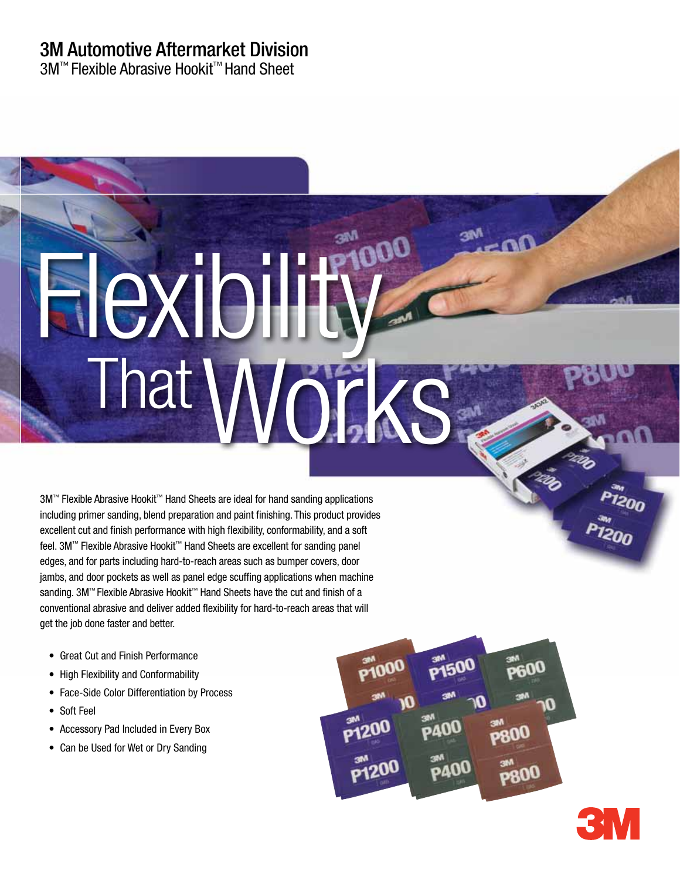# 3M Automotive Aftermarket Division

3M™ Flexible Abrasive Hookit™ Hand Sheet

# Flexibility That<sup>1</sup>

3M™ Flexible Abrasive Hookit™ Hand Sheets are ideal for hand sanding applications including primer sanding, blend preparation and paint finishing. This product provides excellent cut and finish performance with high flexibility, conformability, and a soft feel. 3M™ Flexible Abrasive Hookit™ Hand Sheets are excellent for sanding panel edges, and for parts including hard-to-reach areas such as bumper covers, door jambs, and door pockets as well as panel edge scuffing applications when machine sanding. 3M™ Flexible Abrasive Hookit™ Hand Sheets have the cut and finish of a conventional abrasive and deliver added flexibility for hard-to-reach areas that will get the job done faster and better.

- Great Cut and Finish Performance
- High Flexibility and Conformability
- Face-Side Color Differentiation by Process
- • Soft Feel
- Accessory Pad Included in Every Box
- Can be Used for Wet or Dry Sanding